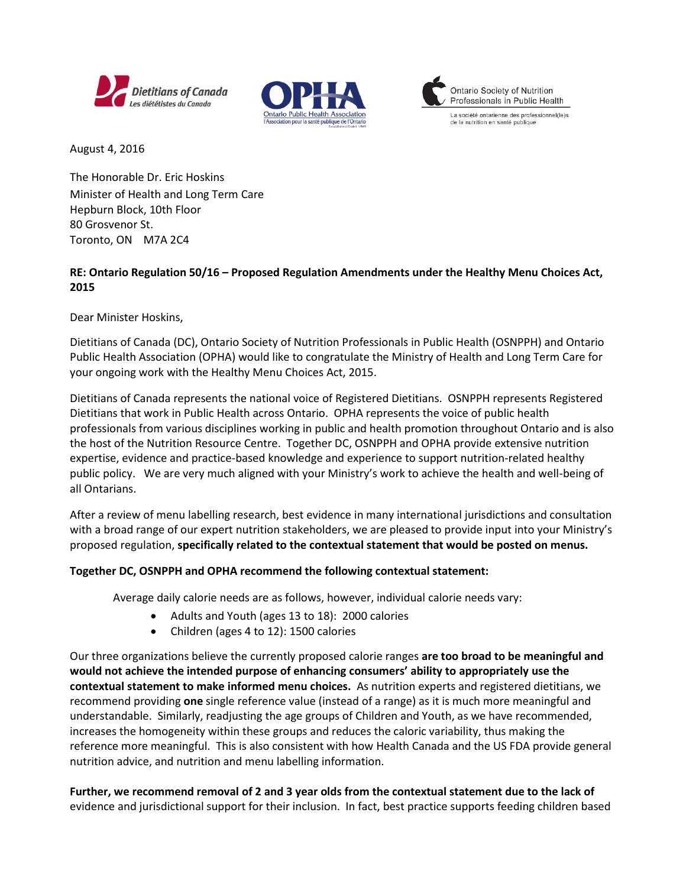





La société ontarienne des professionnel(le)s de la nutrition en santé publique

August 4, 2016

The Honorable Dr. Eric Hoskins Minister of Health and Long Term Care Hepburn Block, 10th Floor 80 Grosvenor St. Toronto, ON M7A 2C4

#### **RE: Ontario Regulation 50/16 – Proposed Regulation Amendments under the Healthy Menu Choices Act, 2015**

Dear Minister Hoskins,

Dietitians of Canada (DC), Ontario Society of Nutrition Professionals in Public Health (OSNPPH) and Ontario Public Health Association (OPHA) would like to congratulate the Ministry of Health and Long Term Care for your ongoing work with the Healthy Menu Choices Act, 2015.

Dietitians of Canada represents the national voice of Registered Dietitians. OSNPPH represents Registered Dietitians that work in Public Health across Ontario. OPHA represents the voice of public health professionals from various disciplines working in public and health promotion throughout Ontario and is also the host of the Nutrition Resource Centre. Together DC, OSNPPH and OPHA provide extensive nutrition expertise, evidence and practice-based knowledge and experience to support nutrition-related healthy public policy. We are very much aligned with your Ministry's work to achieve the health and well-being of all Ontarians.

After a review of menu labelling research, best evidence in many international jurisdictions and consultation with a broad range of our expert nutrition stakeholders, we are pleased to provide input into your Ministry's proposed regulation, **specifically related to the contextual statement that would be posted on menus.**

#### **Together DC, OSNPPH and OPHA recommend the following contextual statement:**

Average daily calorie needs are as follows, however, individual calorie needs vary:

- Adults and Youth (ages 13 to 18): 2000 calories
- Children (ages 4 to 12): 1500 calories

Our three organizations believe the currently proposed calorie ranges **are too broad to be meaningful and would not achieve the intended purpose of enhancing consumers' ability to appropriately use the contextual statement to make informed menu choices.** As nutrition experts and registered dietitians, we recommend providing **one** single reference value (instead of a range) as it is much more meaningful and understandable. Similarly, readjusting the age groups of Children and Youth, as we have recommended, increases the homogeneity within these groups and reduces the caloric variability, thus making the reference more meaningful. This is also consistent with how Health Canada and the US FDA provide general nutrition advice, and nutrition and menu labelling information.

**Further, we recommend removal of 2 and 3 year olds from the contextual statement due to the lack of**  evidence and jurisdictional support for their inclusion. In fact, best practice supports feeding children based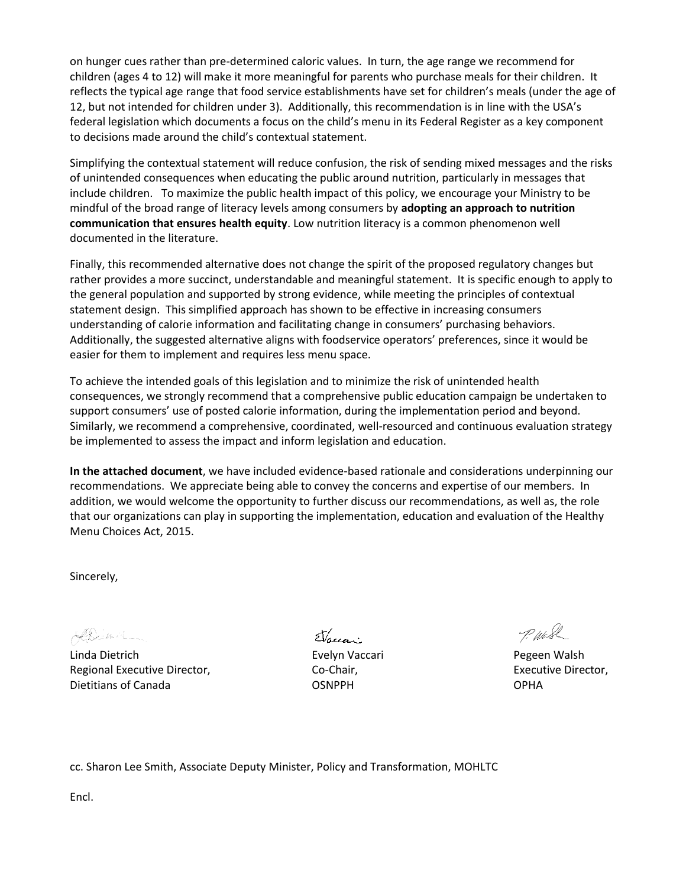on hunger cues rather than pre-determined caloric values. In turn, the age range we recommend for children (ages 4 to 12) will make it more meaningful for parents who purchase meals for their children. It reflects the typical age range that food service establishments have set for children's meals (under the age of 12, but not intended for children under 3). Additionally, this recommendation is in line with the USA's federal legislation which documents a focus on the child's menu in its Federal Register as a key component to decisions made around the child's contextual statement.

Simplifying the contextual statement will reduce confusion, the risk of sending mixed messages and the risks of unintended consequences when educating the public around nutrition, particularly in messages that include children. To maximize the public health impact of this policy, we encourage your Ministry to be mindful of the broad range of literacy levels among consumers by **adopting an approach to nutrition communication that ensures health equity**. Low nutrition literacy is a common phenomenon well documented in the literature.

Finally, this recommended alternative does not change the spirit of the proposed regulatory changes but rather provides a more succinct, understandable and meaningful statement. It is specific enough to apply to the general population and supported by strong evidence, while meeting the principles of contextual statement design. This simplified approach has shown to be effective in increasing consumers understanding of calorie information and facilitating change in consumers' purchasing behaviors. Additionally, the suggested alternative aligns with foodservice operators' preferences, since it would be easier for them to implement and requires less menu space.

To achieve the intended goals of this legislation and to minimize the risk of unintended health consequences, we strongly recommend that a comprehensive public education campaign be undertaken to support consumers' use of posted calorie information, during the implementation period and beyond. Similarly, we recommend a comprehensive, coordinated, well-resourced and continuous evaluation strategy be implemented to assess the impact and inform legislation and education.

**In the attached document**, we have included evidence-based rationale and considerations underpinning our recommendations. We appreciate being able to convey the concerns and expertise of our members. In addition, we would welcome the opportunity to further discuss our recommendations, as well as, the role that our organizations can play in supporting the implementation, education and evaluation of the Healthy Menu Choices Act, 2015.

Sincerely,

ADimil\_

Linda Dietrich Evelyn Vaccari Pegeen Walsh Regional Executive Director, The Co-Chair, Co-Chair, Executive Director, Executive Director, Dietitians of Canada OSNPPH OPHA

Jaun

P. Wash

cc. Sharon Lee Smith, Associate Deputy Minister, Policy and Transformation, MOHLTC

Encl.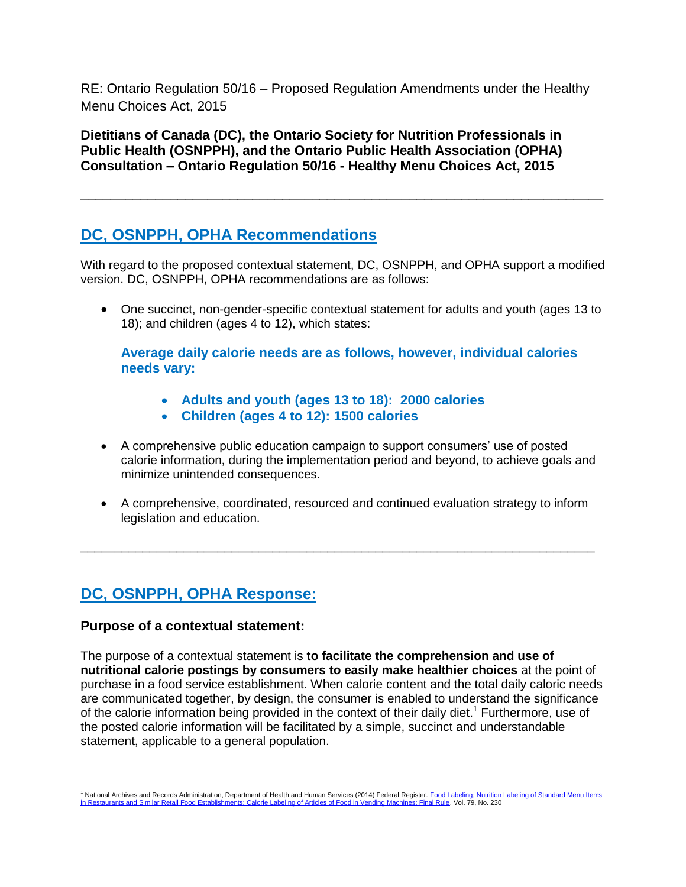RE: Ontario Regulation 50/16 – Proposed Regulation Amendments under the Healthy Menu Choices Act, 2015

**Dietitians of Canada (DC), the Ontario Society for Nutrition Professionals in Public Health (OSNPPH), and the Ontario Public Health Association (OPHA) Consultation – Ontario Regulation 50/16 - Healthy Menu Choices Act, 2015** 

# **DC, OSNPPH, OPHA Recommendations**

With regard to the proposed contextual statement, DC, OSNPPH, and OPHA support a modified version. DC, OSNPPH, OPHA recommendations are as follows:

\_\_\_\_\_\_\_\_\_\_\_\_\_\_\_\_\_\_\_\_\_\_\_\_\_\_\_\_\_\_\_\_\_\_\_\_\_\_\_\_\_\_\_\_\_\_\_\_\_\_\_\_\_\_\_\_\_\_\_\_\_\_\_\_\_\_\_\_\_\_

 One succinct, non-gender-specific contextual statement for adults and youth (ages 13 to 18); and children (ages 4 to 12), which states:

**Average daily calorie needs are as follows, however, individual calories needs vary:** 

- **Adults and youth (ages 13 to 18): 2000 calories**
- **Children (ages 4 to 12): 1500 calories**
- A comprehensive public education campaign to support consumers' use of posted calorie information, during the implementation period and beyond, to achieve goals and minimize unintended consequences.
- A comprehensive, coordinated, resourced and continued evaluation strategy to inform legislation and education.

\_\_\_\_\_\_\_\_\_\_\_\_\_\_\_\_\_\_\_\_\_\_\_\_\_\_\_\_\_\_\_\_\_\_\_\_\_\_\_\_\_\_\_\_\_\_\_\_\_\_\_\_\_\_\_\_\_\_\_\_\_\_\_\_\_\_\_\_\_\_\_\_\_\_\_

# **DC, OSNPPH, OPHA Response:**

# **Purpose of a contextual statement:**

The purpose of a contextual statement is **to facilitate the comprehension and use of nutritional calorie postings by consumers to easily make healthier choices** at the point of purchase in a food service establishment. When calorie content and the total daily caloric needs are communicated together, by design, the consumer is enabled to understand the significance of the calorie information being provided in the context of their daily diet.<sup>1</sup> Furthermore, use of the posted calorie information will be facilitated by a simple, succinct and understandable statement, applicable to a general population.

 $\overline{\phantom{a}}$ <sup>1</sup> National Archives and Records Administration, Department of Health and Human Services (2014) Federal Register. Food Labeling: Nutrition Labeling of Standard Menu Items ts: Calorie Labeling of Articles of Food in Vending Machines; Final Rule. Vol. 79, No. 230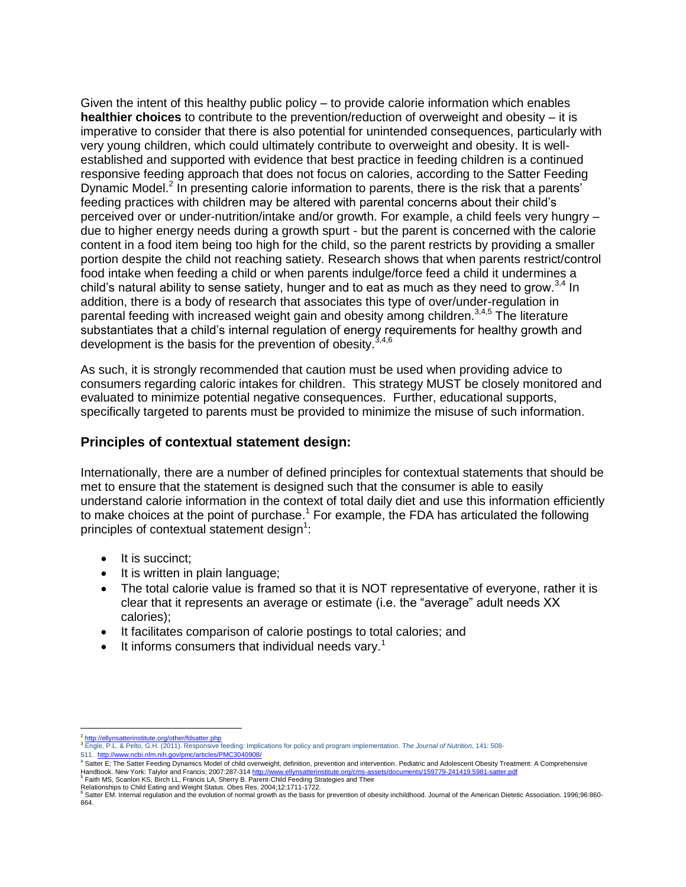Given the intent of this healthy public policy – to provide calorie information which enables **healthier choices** to contribute to the prevention/reduction of overweight and obesity – it is imperative to consider that there is also potential for unintended consequences, particularly with very young children, which could ultimately contribute to overweight and obesity. It is wellestablished and supported with evidence that best practice in feeding children is a continued responsive feeding approach that does not focus on calories, according to the Satter Feeding Dynamic Model.<sup>2</sup> In presenting calorie information to parents, there is the risk that a parents' feeding practices with children may be altered with parental concerns about their child's perceived over or under-nutrition/intake and/or growth. For example, a child feels very hungry – due to higher energy needs during a growth spurt - but the parent is concerned with the calorie content in a food item being too high for the child, so the parent restricts by providing a smaller portion despite the child not reaching satiety. Research shows that when parents restrict/control food intake when feeding a child or when parents indulge/force feed a child it undermines a child's natural ability to sense satiety, hunger and to eat as much as they need to grow. $^{3,4}$  In addition, there is a body of research that associates this type of over/under-regulation in parental feeding with increased weight gain and obesity among children.<sup>3,4,5</sup> The literature substantiates that a child's internal regulation of energy requirements for healthy growth and development is the basis for the prevention of obesity.  $3,4,6$ 

As such, it is strongly recommended that caution must be used when providing advice to consumers regarding caloric intakes for children. This strategy MUST be closely monitored and evaluated to minimize potential negative consequences. Further, educational supports, specifically targeted to parents must be provided to minimize the misuse of such information.

### **Principles of contextual statement design:**

Internationally, there are a number of defined principles for contextual statements that should be met to ensure that the statement is designed such that the consumer is able to easily understand calorie information in the context of total daily diet and use this information efficiently to make choices at the point of purchase.<sup>1</sup> For example, the FDA has articulated the following principles of contextual statement design $1$ :

- $\bullet$  It is succinct:
- It is written in plain language;
- The total calorie value is framed so that it is NOT representative of everyone, rather it is clear that it represents an average or estimate (i.e. the "average" adult needs XX calories);
- It facilitates comparison of calorie postings to total calories; and
- It informs consumers that individual needs vary.<sup>1</sup>

511. <http://www.ncbi.nlm.nih.gov/pmc/articles/PMC3040908/>

 $\overline{a}$ 2 rinstitute.org/other/fdsatter.ph

<sup>3</sup> Engle, P.L. & Pelto, G.H. (2011). Responsive feeding: Implications for policy and program implementation. *The Journal of Nutrition*, 141: 508-

<sup>4</sup> Satter E; The Satter Feeding Dynamics Model of child overweight, definition, prevention and intervention. Pediatric and Adolescent Obesity Treatment: A Comprehensive

Handbook. New York: Talylor and Francis; 2007:287-314 <u><http://www.ellynsatterinstitute.org/cms-assets/documents/159779-241419.5981-satter.pdf></u><br><sup>5</sup> Faith MS, Scanlon KS, Birch LL, Francis LA, Sherry B. Parent-Child Feeding 864.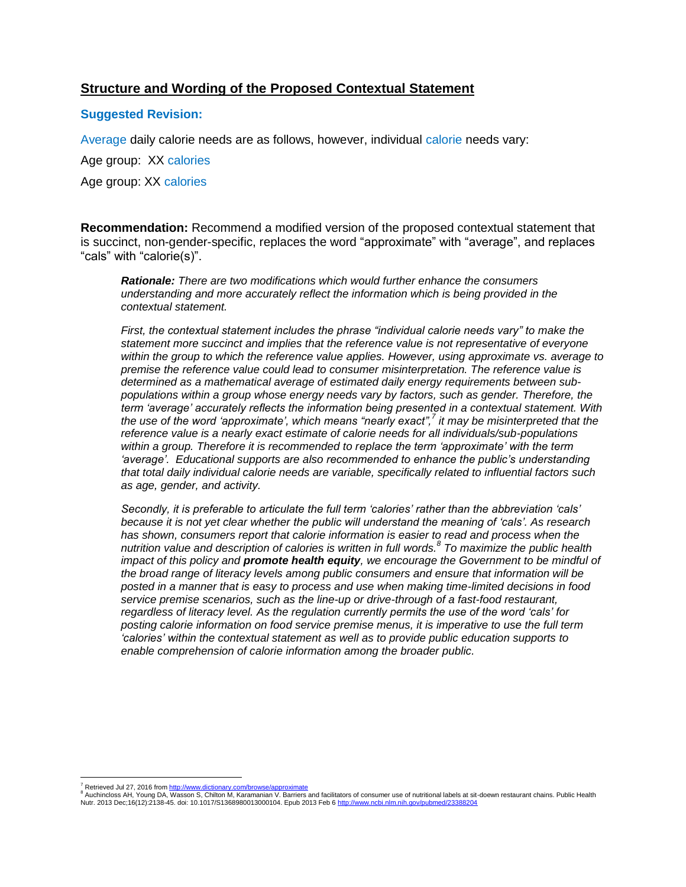## **Structure and Wording of the Proposed Contextual Statement**

#### **Suggested Revision:**

Average daily calorie needs are as follows, however, individual calorie needs vary:

Age group: XX calories

Age group: XX calories

**Recommendation:** Recommend a modified version of the proposed contextual statement that is succinct, non-gender-specific, replaces the word "approximate" with "average", and replaces "cals" with "calorie(s)".

*Rationale: There are two modifications which would further enhance the consumers understanding and more accurately reflect the information which is being provided in the contextual statement.*

*First, the contextual statement includes the phrase "individual calorie needs vary" to make the statement more succinct and implies that the reference value is not representative of everyone within the group to which the reference value applies. However, using approximate vs. average to premise the reference value could lead to consumer misinterpretation. The reference value is determined as a mathematical average of estimated daily energy requirements between subpopulations within a group whose energy needs vary by factors, such as gender. Therefore, the term 'average' accurately reflects the information being presented in a contextual statement. With the use of the word 'approximate', which means "nearly exact",<sup>7</sup> it may be misinterpreted that the reference value is a nearly exact estimate of calorie needs for all individuals/sub-populations within a group. Therefore it is recommended to replace the term 'approximate' with the term 'average'. Educational supports are also recommended to enhance the public's understanding that total daily individual calorie needs are variable, specifically related to influential factors such as age, gender, and activity.*

*Secondly, it is preferable to articulate the full term 'calories' rather than the abbreviation 'cals' because it is not yet clear whether the public will understand the meaning of 'cals'. As research*  has shown, consumers report that calorie information is easier to read and process when the *nutrition value and description of calories is written in full words. 8 To maximize the public health impact of this policy and promote health equity, we encourage the Government to be mindful of the broad range of literacy levels among public consumers and ensure that information will be posted in a manner that is easy to process and use when making time-limited decisions in food service premise scenarios, such as the line-up or drive-through of a fast-food restaurant, regardless of literacy level. As the regulation currently permits the use of the word 'cals' for posting calorie information on food service premise menus, it is imperative to use the full term 'calories' within the contextual statement as well as to provide public education supports to enable comprehension of calorie information among the broader public.*

<sup>7&</sup>lt;br><sup>8</sup> Retrieved Jul 27, 2016 from <u>http://www.dictionary.com/browse/approximate</u><br><sup>8</sup> Auchincloss AH, Young DA, Wasson S, Chilton M, Karamanian V. Barriers and facilitators of consumer use of nutritional labels at sit-doewn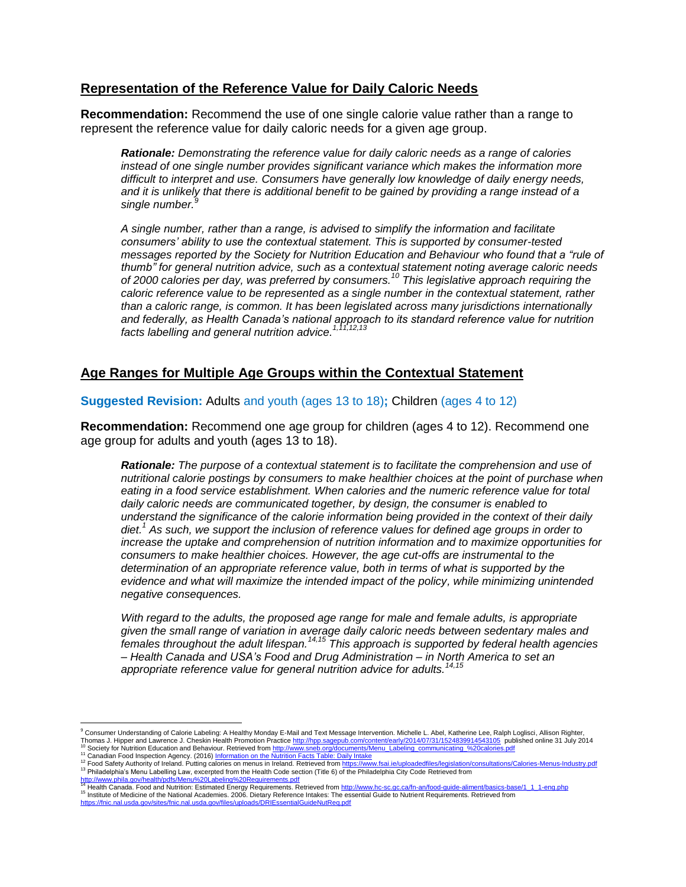### **Representation of the Reference Value for Daily Caloric Needs**

**Recommendation:** Recommend the use of one single calorie value rather than a range to represent the reference value for daily caloric needs for a given age group.

*Rationale: Demonstrating the reference value for daily caloric needs as a range of calories instead of one single number provides significant variance which makes the information more difficult to interpret and use. Consumers have generally low knowledge of daily energy needs, and it is unlikely that there is additional benefit to be gained by providing a range instead of a single number.<sup>9</sup>*

*A single number, rather than a range, is advised to simplify the information and facilitate consumers' ability to use the contextual statement. This is supported by consumer-tested messages reported by the Society for Nutrition Education and Behaviour who found that a "rule of thumb" for general nutrition advice, such as a contextual statement noting average caloric needs of 2000 calories per day, was preferred by consumers.<sup>10</sup> This legislative approach requiring the caloric reference value to be represented as a single number in the contextual statement, rather than a caloric range, is common. It has been legislated across many jurisdictions internationally and federally, as Health Canada's national approach to its standard reference value for nutrition facts labelling and general nutrition advice. 1,11,12,13*

# **Age Ranges for Multiple Age Groups within the Contextual Statement**

**Suggested Revision:** Adults and youth (ages 13 to 18)**;** Children (ages 4 to 12)

**Recommendation:** Recommend one age group for children (ages 4 to 12). Recommend one age group for adults and youth (ages 13 to 18).

*Rationale: The purpose of a contextual statement is to facilitate the comprehension and use of nutritional calorie postings by consumers to make healthier choices at the point of purchase when eating in a food service establishment. When calories and the numeric reference value for total daily caloric needs are communicated together, by design, the consumer is enabled to understand the significance of the calorie information being provided in the context of their daily diet.<sup>1</sup> As such, we support the inclusion of reference values for defined age groups in order to increase the uptake and comprehension of nutrition information and to maximize opportunities for consumers to make healthier choices. However, the age cut-offs are instrumental to the determination of an appropriate reference value, both in terms of what is supported by the evidence and what will maximize the intended impact of the policy, while minimizing unintended negative consequences.*

*With regard to the adults, the proposed age range for male and female adults, is appropriate given the small range of variation in average daily caloric needs between sedentary males and females throughout the adult lifespan.14,15 This approach is supported by federal health agencies – Health Canada and USA's Food and Drug Administration – in North America to set an appropriate reference value for general nutrition advice for adults.14,15*

l

<sup>9</sup> Consumer Understanding of Calorie Labeling: A Healthy Monday E-Mail and Text Message Intervention. Michelle L. Abel, Katherine Lee, Ralph Loglisci, Allison Righter, Thomas J. Hipper and Lawrence J. Cheskin Health Promotion Practice <u>http://hpp.sagepub.com/content/early/2014/07/31/1524839914543105</u> published online 31 July 2014<br><sup>10</sup> Society for Nutrition Education and Behaviour. Retrie

<sup>&</sup>lt;sup>11</sup> Canadian Food Inspection Agency. (2016) <u>Information on the Nutrition Facts Table: Daily Intake</u><br><sup>12</sup> Food Safety Authority of Ireland. Putting calories on menus in Ireland. Retrieved from <u>https://www.fsai.ie/uploade</u> 13 Philadelphia's Menu Labelling Law, excerpted from the Health Code section (Title 6) of the Philadelphia City Code Retrieved from<br>http://www.phila.gov/health/ndfs/Menu%20Labeling%20Requirements.pdf

<sup>&</sup>lt;u><http://www.phila.gov/health/pdfs/Menu%20Labeling%20Requirements.pdf></u><br><sup>14</sup> Health Canada. Food and Nutrition: Estimated Energy Requirements. Retrieved from <u>http://www.hc-sc.qc.ca/fn-an/food-quide-aliment/basics-base/1\_1\_1</u> 15 Institute of Medicine of the National Academies. 2006. Dietary Reference Intakes: The essential Guide to Nutrient Requirements. Retrieved from<br>https://fnic.nal.usda.org/lifensitus/decemies. 2006. Dietary Reference Intak

tes/fnic.nal.usda.gov/files/uploads/DRIEssentialGuideNutReg.pdf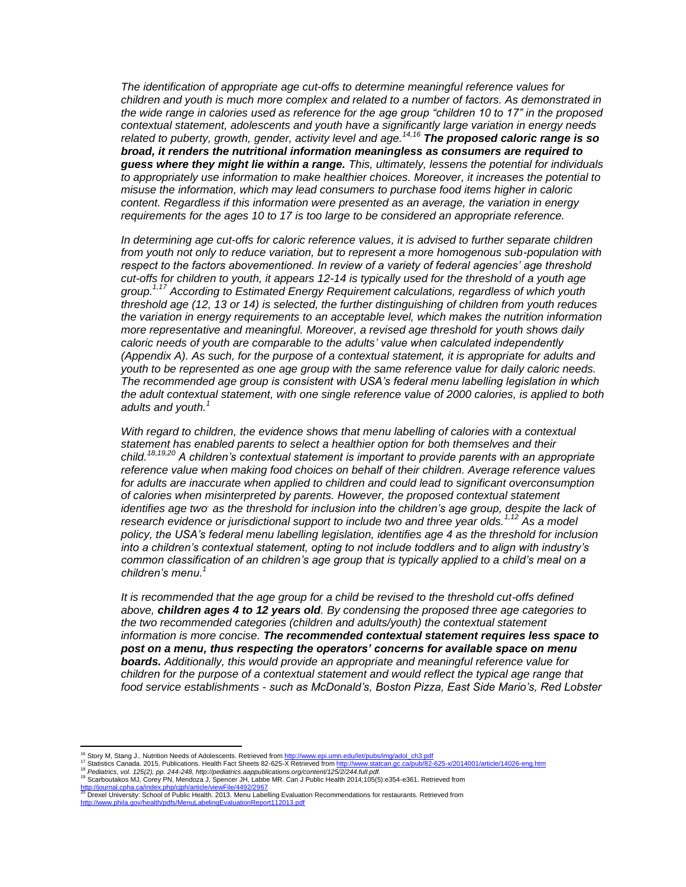*The identification of appropriate age cut-offs to determine meaningful reference values for children and youth is much more complex and related to a number of factors. As demonstrated in the wide range in calories used as reference for the age group "children 10 to 17" in the proposed contextual statement, adolescents and youth have a significantly large variation in energy needs related to puberty, growth, gender, activity level and age.14,16 The proposed caloric range is so broad, it renders the nutritional information meaningless as consumers are required to guess where they might lie within a range. This, ultimately, lessens the potential for individuals to appropriately use information to make healthier choices. Moreover, it increases the potential to misuse the information, which may lead consumers to purchase food items higher in caloric content. Regardless if this information were presented as an average, the variation in energy requirements for the ages 10 to 17 is too large to be considered an appropriate reference.*

*In determining age cut-offs for caloric reference values, it is advised to further separate children from youth not only to reduce variation, but to represent a more homogenous sub-population with respect to the factors abovementioned. In review of a variety of federal agencies' age threshold cut-offs for children to youth, it appears 12-14 is typically used for the threshold of a youth age group.1,17 According to Estimated Energy Requirement calculations, regardless of which youth threshold age (12, 13 or 14) is selected, the further distinguishing of children from youth reduces the variation in energy requirements to an acceptable level, which makes the nutrition information more representative and meaningful. Moreover, a revised age threshold for youth shows daily caloric needs of youth are comparable to the adults' value when calculated independently (Appendix A). As such, for the purpose of a contextual statement, it is appropriate for adults and youth to be represented as one age group with the same reference value for daily caloric needs. The recommended age group is consistent with USA's federal menu labelling legislation in which the adult contextual statement, with one single reference value of 2000 calories, is applied to both adults and youth.<sup>1</sup>*

*With regard to children, the evidence shows that menu labelling of calories with a contextual statement has enabled parents to select a healthier option for both themselves and their child.18,19,20 A children's contextual statement is important to provide parents with an appropriate reference value when making food choices on behalf of their children. Average reference values for adults are inaccurate when applied to children and could lead to significant overconsumption of calories when misinterpreted by parents. However, the proposed contextual statement identifies age two, as the threshold for inclusion into the children's age group, despite the lack of research evidence or jurisdictional support to include two and three year olds.1,12 As a model policy, the USA's federal menu labelling legislation, identifies age 4 as the threshold for inclusion into a children's contextual statement, opting to not include toddlers and to align with industry's common classification of an children's age group that is typically applied to a child's meal on a children's menu.<sup>1</sup>*

*It is recommended that the age group for a child be revised to the threshold cut-offs defined above, children ages 4 to 12 years old. By condensing the proposed three age categories to the two recommended categories (children and adults/youth) the contextual statement information is more concise. The recommended contextual statement requires less space to post on a menu, thus respecting the operators' concerns for available space on menu boards. Additionally, this would provide an appropriate and meaningful reference value for children for the purpose of a contextual statement and would reflect the typical age range that food service establishments - such as McDonald's, Boston Pizza, East Side Mario's, Red Lobster*

<sup>&</sup>lt;sup>16</sup> Story M, Stang J.. Nutrition Needs of Adolescents. Retrieved from <u>http://www.epi.umn.edu/let/pubs/img/adol\_ch3.pdf</u><br><sup>17</sup> Statistics Canada. 2015. Publications. Health Fact Sheets 82-625-X Retrieved from <u>http://www.s</u>

<sup>18</sup> *Pediatrics, vol. 125(2), pp. 244-248, http://pediatrics.aappublications.org/content/125/2/244.full.pdf.*

<sup>&</sup>lt;sup>19</sup> Scarboutakos MJ, Córey PN, Mendoza J, Spencer JH, Labbe MR. Can J Public Health 2014;105(5):e354-e361. Retrieved from<br><u><http://journal.cpha.ca/index.php/cjph/article/viewFile/4492/2967></u>

http://journal.cpha.ca/index.php/cjph/article/viewFile/4492/2967<br><sup>20</sup> Drexel University: School of Public Health. 2013. Menu Labelling Evaluation Recommendations for restaurants. Retrieved from<br>http://www.nhila.gov/health/ v/health/pdfs/MenuLabelingEvaluationReport112013.pdf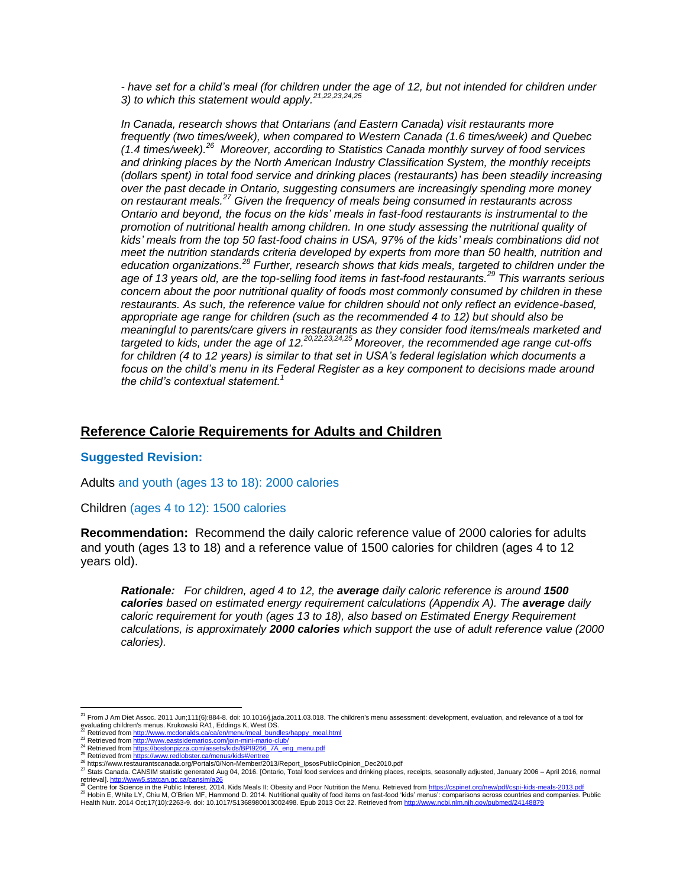*- have set for a child's meal (for children under the age of 12, but not intended for children under 3) to which this statement would apply.21,22,23,24,25*

*In Canada, research shows that Ontarians (and Eastern Canada) visit restaurants more frequently (two times/week), when compared to Western Canada (1.6 times/week) and Quebec (1.4 times/week). <sup>26</sup> Moreover, according to Statistics Canada monthly survey of food services and drinking places by the North American Industry Classification System, the monthly receipts (dollars spent) in total food service and drinking places (restaurants) has been steadily increasing over the past decade in Ontario, suggesting consumers are increasingly spending more money on restaurant meals.<sup>27</sup> Given the frequency of meals being consumed in restaurants across Ontario and beyond, the focus on the kids' meals in fast-food restaurants is instrumental to the promotion of nutritional health among children. In one study assessing the nutritional quality of kids' meals from the top 50 fast-food chains in USA, 97% of the kids' meals combinations did not meet the nutrition standards criteria developed by experts from more than 50 health, nutrition and education organizations. <sup>28</sup> Further, research shows that kids meals, targeted to children under the age of 13 years old, are the top-selling food items in fast-food restaurants.<sup>29</sup> This warrants serious concern about the poor nutritional quality of foods most commonly consumed by children in these restaurants. As such, the reference value for children should not only reflect an evidence-based, appropriate age range for children (such as the recommended 4 to 12) but should also be meaningful to parents/care givers in restaurants as they consider food items/meals marketed and targeted to kids, under the age of 12.20,22,23,24,25 Moreover, the recommended age range cut-offs for children (4 to 12 years) is similar to that set in USA's federal legislation which documents a focus on the child's menu in its Federal Register as a key component to decisions made around the child's contextual statement.<sup>1</sup>*

#### **Reference Calorie Requirements for Adults and Children**

#### **Suggested Revision:**

Adults and youth (ages 13 to 18): 2000 calories

Children (ages 4 to 12): 1500 calories

**Recommendation:** Recommend the daily caloric reference value of 2000 calories for adults and youth (ages 13 to 18) and a reference value of 1500 calories for children (ages 4 to 12 years old).

*Rationale: For children, aged 4 to 12, the average daily caloric reference is around 1500 calories based on estimated energy requirement calculations (Appendix A). The average daily caloric requirement for youth (ages 13 to 18), also based on Estimated Energy Requirement calculations, is approximately 2000 calories which support the use of adult reference value (2000 calories).*

 <sup>21</sup> From J Am Diet Assoc. 2011 Jun;111(6):884-8. doi: 10.1016/j.jada.2011.03.018. The children's menu assessment: development, evaluation, and relevance of a tool for evaluating children's menus. Krukowski RA1, Eddings K, West DS.

<sup>22</sup> Retrieved fro[m http://www.mcdonalds.ca/ca/en/menu/meal\\_bundles/happy\\_meal.html](http://www.mcdonalds.ca/ca/en/menu/meal_bundles/happy_meal.html)

<sup>23</sup> Retrieved fro[m http://www.eastsidemarios.com/join-mini-mario-club/](http://www.eastsidemarios.com/join-mini-mario-club/) <sup>24</sup> Retrieved fro[m https://bostonpizza.com/assets/kids/BPI9266\\_7A\\_eng\\_menu.pdf](https://bostonpizza.com/assets/kids/BPI9266_7A_eng_menu.pdf)<br><sup>25</sup> Retrieved from https://www.redlobster.ca/menus/kids#/entree

<sup>&</sup>lt;sup>25</sup> Retrieved from http

<sup>&</sup>lt;sup>26</sup> https://www.restaurantscanada.org/Portals/0/Non-Member/2013/Report\_IpsosPublicOpinion\_Dec2010.pdf

<sup>27</sup> Stats Canada. CANSIM statistic generated Aug 04, 2016. [Ontario, Total food services and drinking places, receipts, seasonally adjusted, January 2006 – April 2016, normal<br>retrievall. http://www5.statcan.gc.ca/cansim/a26 retrieval]. http://www5.statcan.gc.ca

Centre for Science in the Public Interest. 2014. Kids Meals II: Obesity and Poor Nutrition the Menu. Retrieved fro[m https://cspinet.org/new/pdf/cspi-kids-meals-2013.pdf](https://cspinet.org/new/pdf/cspi-kids-meals-2013.pdf)

<sup>&</sup>lt;sup>29</sup> Hobin E, White LY, Chiu M, O'Brien MF, Hammond D. 2014. Nutritional quality of food items on fast-food 'kids' menus': comparisons across countries and companies. Public<br>Health Nutr. 2014 Oct;17(10):2263-9. doi: 10.101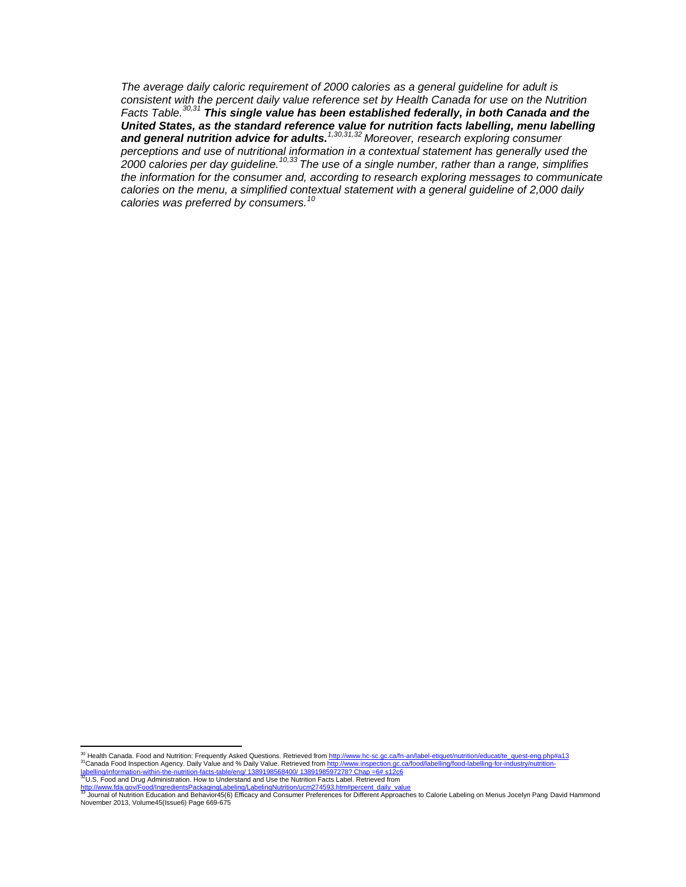*The average daily caloric requirement of 2000 calories as a general guideline for adult is consistent with the percent daily value reference set by Health Canada for use on the Nutrition*  Facts Table.<sup>30,31</sup> This single value has been established federally, in both Canada and the *United States, as the standard reference value for nutrition facts labelling, menu labelling and general nutrition advice for adults.1,30,31,32 Moreover, research exploring consumer perceptions and use of nutritional information in a contextual statement has generally used the 2000 calories per day guideline.10,33 The use of a single number, rather than a range, simplifies the information for the consumer and, according to research exploring messages to communicate calories on the menu, a simplified contextual statement with a general guideline of 2,000 daily calories was preferred by consumers.<sup>10</sup>*

<sup>&</sup>lt;sup>30</sup> Health Canada. Food and Nutrition: Frequently Asked Questions. Retrieved from <u>http://www.hc-sc.gc.ca/fn-an/label-etiquet/nutrition/educat/te\_quest-eng.php#a13</u><br><sup>31</sup>Canada Food Inspection Agency. Daily Value and % Da

<sup>33</sup>U.S. Food and Drug Administration. How to Understand and Use the Nutrition Facts Label. Retrieved from

<sup>&</sup>lt;u>[http://www.fda.gov/Food/IngredientsPackagingLabeling/LabelingNutrition/ucm274593.htm#percent\\_daily\\_value](http://www.fda.gov/Food/IngredientsPackagingLabeling/LabelingNutrition/ucm274593.htm#percent_daily_value)</u><br><sup>33</sup> Journal of Nutrition Education and Behavior45(6) Efficacy and Consumer Preferences for Different Approaches to November 2013, Volume45(Issue6) Page 669-675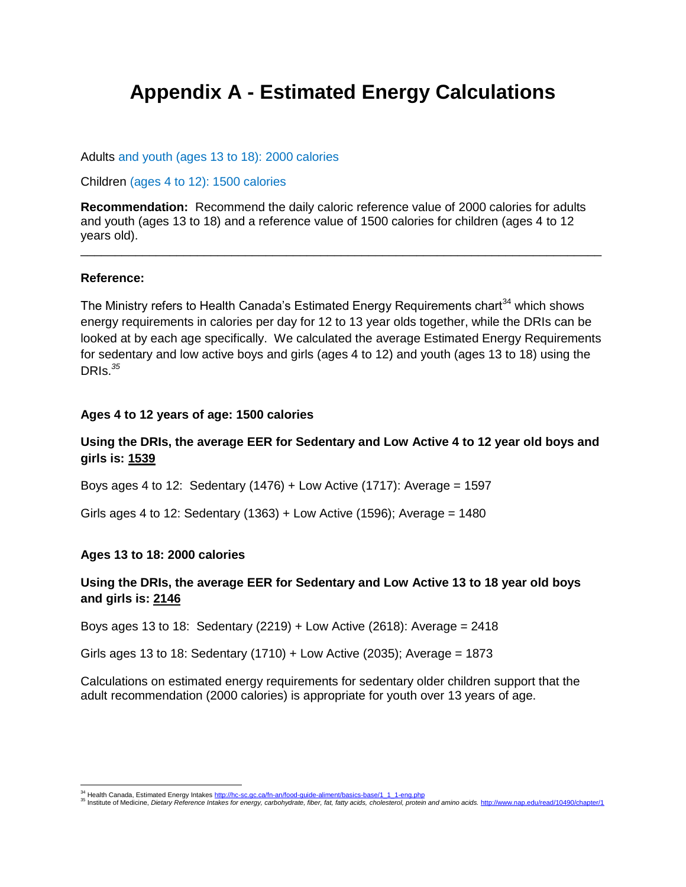# **Appendix A - Estimated Energy Calculations**

Adults and youth (ages 13 to 18): 2000 calories

Children (ages 4 to 12): 1500 calories

**Recommendation:** Recommend the daily caloric reference value of 2000 calories for adults and youth (ages 13 to 18) and a reference value of 1500 calories for children (ages 4 to 12 years old). \_\_\_\_\_\_\_\_\_\_\_\_\_\_\_\_\_\_\_\_\_\_\_\_\_\_\_\_\_\_\_\_\_\_\_\_\_\_\_\_\_\_\_\_\_\_\_\_\_\_\_\_\_\_\_\_\_\_\_\_\_\_\_\_\_\_\_\_\_\_\_\_\_\_\_\_

#### **Reference:**

The Ministry refers to Health Canada's Estimated Energy Requirements chart<sup>34</sup> which shows energy requirements in calories per day for 12 to 13 year olds together, while the DRIs can be looked at by each age specifically. We calculated the average Estimated Energy Requirements for sedentary and low active boys and girls (ages 4 to 12) and youth (ages 13 to 18) using the DRIs.*<sup>35</sup>*

#### **Ages 4 to 12 years of age: 1500 calories**

# **Using the DRIs, the average EER for Sedentary and Low Active 4 to 12 year old boys and girls is: 1539**

Boys ages 4 to 12: Sedentary (1476) + Low Active (1717): Average = 1597

Girls ages 4 to 12: Sedentary (1363) + Low Active (1596); Average = 1480

#### **Ages 13 to 18: 2000 calories**

### **Using the DRIs, the average EER for Sedentary and Low Active 13 to 18 year old boys and girls is: 2146**

Boys ages 13 to 18: Sedentary (2219) + Low Active (2618): Average = 2418

Girls ages 13 to 18: Sedentary (1710) + Low Active (2035); Average = 1873

Calculations on estimated energy requirements for sedentary older children support that the adult recommendation (2000 calories) is appropriate for youth over 13 years of age.

<sup>&</sup>lt;sup>34</sup> Health Canada, Estimated Energy Intakes <u>http://hc-sc.gc.ca/fn-an/food-guide-aliment/basics-base/1\_1\_1-eng.php</u><br><sup>35</sup> Institute of Medicine, *Dietary Reference Intakes for energy, carbohydrate, fiber, fat, fatty acids,*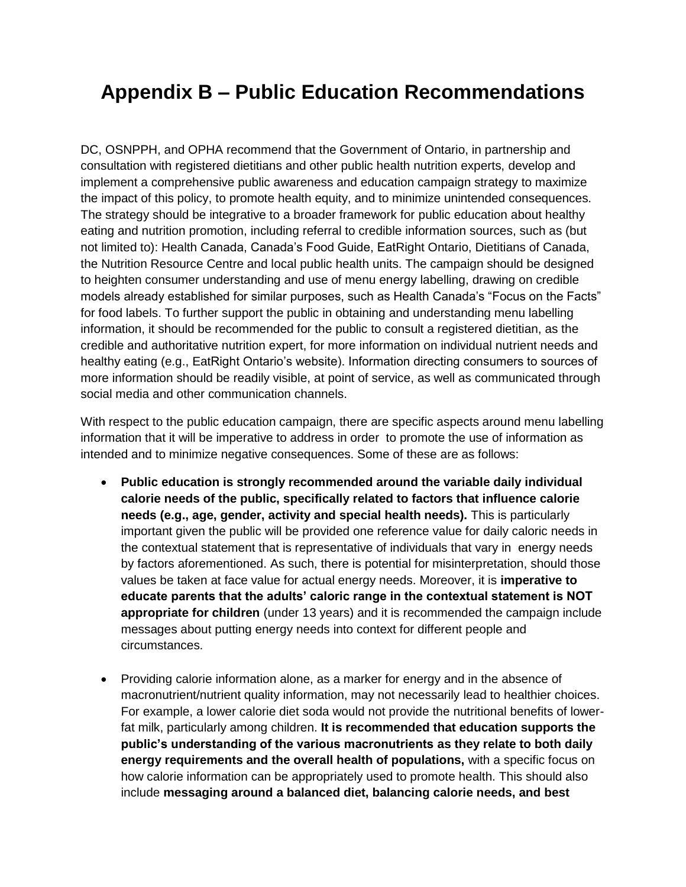# **Appendix B – Public Education Recommendations**

DC, OSNPPH, and OPHA recommend that the Government of Ontario, in partnership and consultation with registered dietitians and other public health nutrition experts, develop and implement a comprehensive public awareness and education campaign strategy to maximize the impact of this policy, to promote health equity, and to minimize unintended consequences. The strategy should be integrative to a broader framework for public education about healthy eating and nutrition promotion, including referral to credible information sources, such as (but not limited to): Health Canada, Canada's Food Guide, EatRight Ontario, Dietitians of Canada, the Nutrition Resource Centre and local public health units. The campaign should be designed to heighten consumer understanding and use of menu energy labelling, drawing on credible models already established for similar purposes, such as Health Canada's "Focus on the Facts" for food labels. To further support the public in obtaining and understanding menu labelling information, it should be recommended for the public to consult a registered dietitian, as the credible and authoritative nutrition expert, for more information on individual nutrient needs and healthy eating (e.g., EatRight Ontario's website). Information directing consumers to sources of more information should be readily visible, at point of service, as well as communicated through social media and other communication channels.

With respect to the public education campaign, there are specific aspects around menu labelling information that it will be imperative to address in order to promote the use of information as intended and to minimize negative consequences. Some of these are as follows:

- **Public education is strongly recommended around the variable daily individual calorie needs of the public, specifically related to factors that influence calorie needs (e.g., age, gender, activity and special health needs).** This is particularly important given the public will be provided one reference value for daily caloric needs in the contextual statement that is representative of individuals that vary in energy needs by factors aforementioned. As such, there is potential for misinterpretation, should those values be taken at face value for actual energy needs. Moreover, it is **imperative to educate parents that the adults' caloric range in the contextual statement is NOT appropriate for children** (under 13 years) and it is recommended the campaign include messages about putting energy needs into context for different people and circumstances.
- Providing calorie information alone, as a marker for energy and in the absence of macronutrient/nutrient quality information, may not necessarily lead to healthier choices. For example, a lower calorie diet soda would not provide the nutritional benefits of lowerfat milk, particularly among children. **It is recommended that education supports the public's understanding of the various macronutrients as they relate to both daily energy requirements and the overall health of populations,** with a specific focus on how calorie information can be appropriately used to promote health. This should also include **messaging around a balanced diet, balancing calorie needs, and best**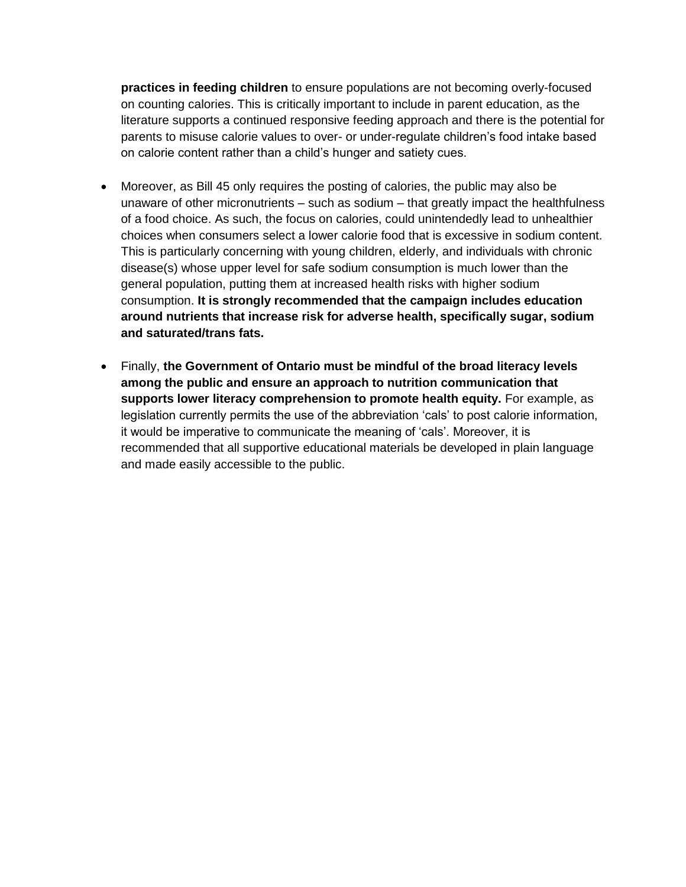**practices in feeding children** to ensure populations are not becoming overly-focused on counting calories. This is critically important to include in parent education, as the literature supports a continued responsive feeding approach and there is the potential for parents to misuse calorie values to over- or under-regulate children's food intake based on calorie content rather than a child's hunger and satiety cues.

- Moreover, as Bill 45 only requires the posting of calories, the public may also be unaware of other micronutrients – such as sodium – that greatly impact the healthfulness of a food choice. As such, the focus on calories, could unintendedly lead to unhealthier choices when consumers select a lower calorie food that is excessive in sodium content. This is particularly concerning with young children, elderly, and individuals with chronic disease(s) whose upper level for safe sodium consumption is much lower than the general population, putting them at increased health risks with higher sodium consumption. **It is strongly recommended that the campaign includes education around nutrients that increase risk for adverse health, specifically sugar, sodium and saturated/trans fats.**
- Finally, **the Government of Ontario must be mindful of the broad literacy levels among the public and ensure an approach to nutrition communication that supports lower literacy comprehension to promote health equity.** For example, as legislation currently permits the use of the abbreviation 'cals' to post calorie information, it would be imperative to communicate the meaning of 'cals'. Moreover, it is recommended that all supportive educational materials be developed in plain language and made easily accessible to the public.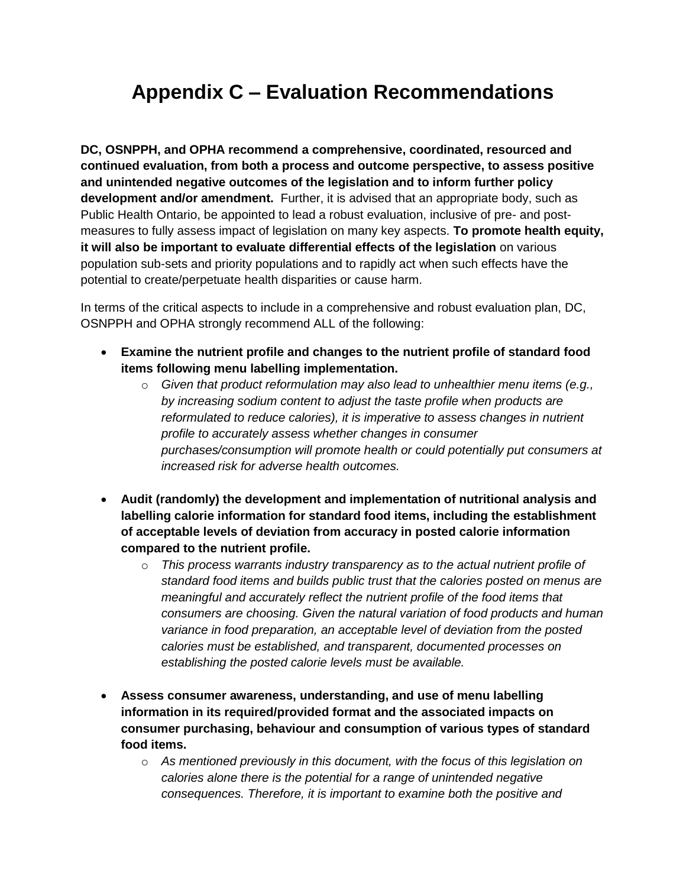# **Appendix C – Evaluation Recommendations**

**DC, OSNPPH, and OPHA recommend a comprehensive, coordinated, resourced and continued evaluation, from both a process and outcome perspective, to assess positive and unintended negative outcomes of the legislation and to inform further policy development and/or amendment.** Further, it is advised that an appropriate body, such as Public Health Ontario, be appointed to lead a robust evaluation, inclusive of pre- and postmeasures to fully assess impact of legislation on many key aspects. **To promote health equity, it will also be important to evaluate differential effects of the legislation** on various population sub-sets and priority populations and to rapidly act when such effects have the potential to create/perpetuate health disparities or cause harm.

In terms of the critical aspects to include in a comprehensive and robust evaluation plan, DC, OSNPPH and OPHA strongly recommend ALL of the following:

- **Examine the nutrient profile and changes to the nutrient profile of standard food items following menu labelling implementation.**
	- o *Given that product reformulation may also lead to unhealthier menu items (e.g., by increasing sodium content to adjust the taste profile when products are reformulated to reduce calories), it is imperative to assess changes in nutrient profile to accurately assess whether changes in consumer purchases/consumption will promote health or could potentially put consumers at increased risk for adverse health outcomes.*
- **Audit (randomly) the development and implementation of nutritional analysis and labelling calorie information for standard food items, including the establishment of acceptable levels of deviation from accuracy in posted calorie information compared to the nutrient profile.**
	- o *This process warrants industry transparency as to the actual nutrient profile of standard food items and builds public trust that the calories posted on menus are meaningful and accurately reflect the nutrient profile of the food items that consumers are choosing. Given the natural variation of food products and human variance in food preparation, an acceptable level of deviation from the posted calories must be established, and transparent, documented processes on establishing the posted calorie levels must be available.*
- **Assess consumer awareness, understanding, and use of menu labelling information in its required/provided format and the associated impacts on consumer purchasing, behaviour and consumption of various types of standard food items.** 
	- o *As mentioned previously in this document, with the focus of this legislation on calories alone there is the potential for a range of unintended negative consequences. Therefore, it is important to examine both the positive and*